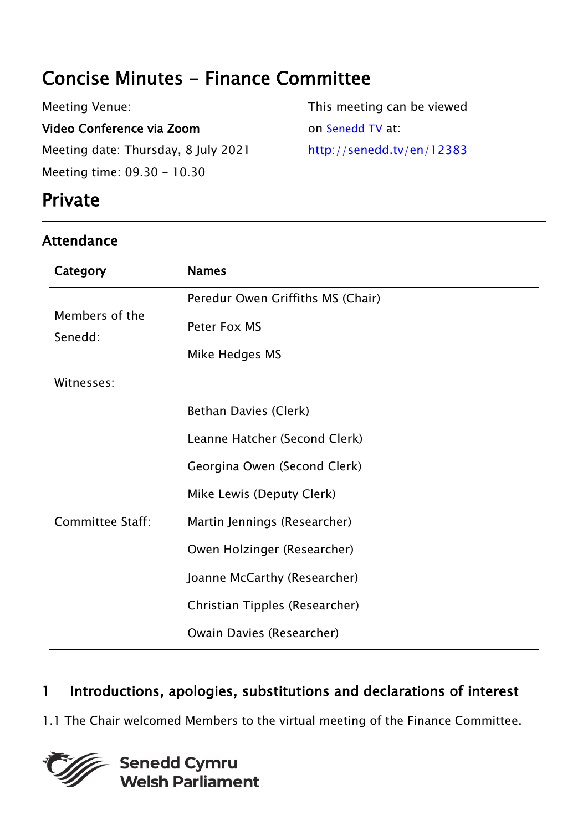# Concise Minutes - Finance Committee

Meeting Venue:

Video Conference via Zoom Meeting date: Thursday, 8 July 2021 Meeting time: 09.30 - 10.30

## Private

#### Attendance

This meeting can be viewed on [Senedd TV](http://senedd.tv/) at: <http://senedd.tv/en/12383>

| Category                  | <b>Names</b>                                                                                                                                        |
|---------------------------|-----------------------------------------------------------------------------------------------------------------------------------------------------|
| Members of the<br>Senedd: | Peredur Owen Griffiths MS (Chair)<br>Peter Fox MS<br>Mike Hedges MS                                                                                 |
| Witnesses:                |                                                                                                                                                     |
| <b>Committee Staff:</b>   | Bethan Davies (Clerk)<br>Leanne Hatcher (Second Clerk)<br>Georgina Owen (Second Clerk)<br>Mike Lewis (Deputy Clerk)<br>Martin Jennings (Researcher) |
|                           | Owen Holzinger (Researcher)<br>Joanne McCarthy (Researcher)<br>Christian Tipples (Researcher)<br>Owain Davies (Researcher)                          |

### 1 Introductions, apologies, substitutions and declarations of interest

1.1 The Chair welcomed Members to the virtual meeting of the Finance Committee.